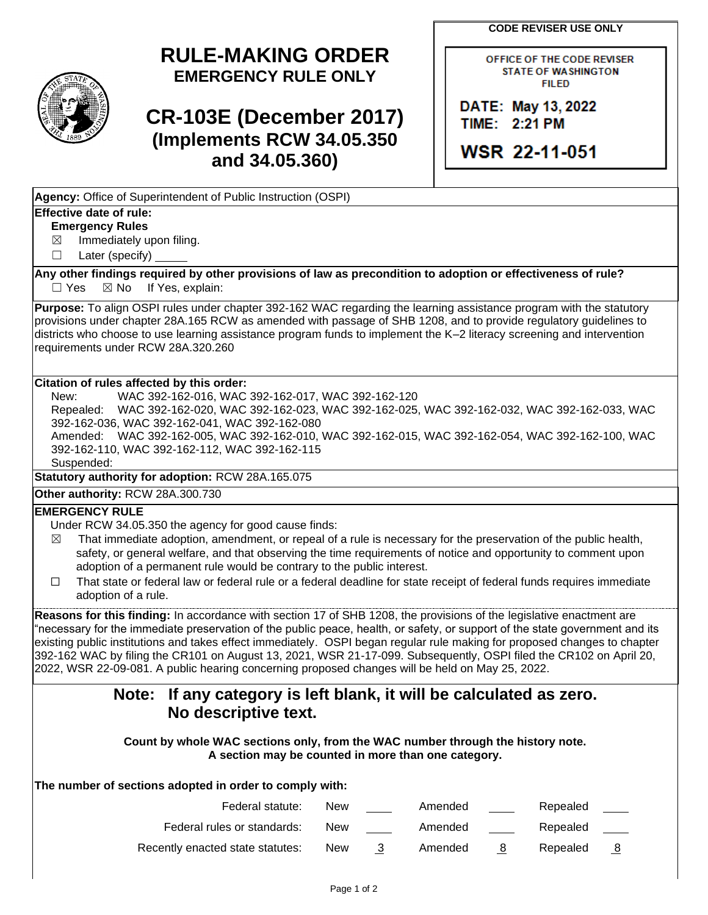**CODE REVISER USE ONLY** 

# **RULE-MAKING ORDER EMERGENCY RULE ONLY**

# **CR-103E (December 2017) (Implements RCW 34.05.350 and 34.05.360)**

OFFICE OF THE CODE REVISER **STATE OF WASHINGTON FILED** 

DATE: May 13, 2022 TIME: 2:21 PM

**WSR 22-11-051** 

**Agency:** Office of Superintendent of Public Instruction (OSPI)

### **Effective date of rule:**

### **Emergency Rules**

 $\boxtimes$ Immediately upon filing.

 $\Box$ Later (specify)

 $\Box$  Yes **Any other findings required by other provisions of law as precondition to adoption or effectiveness of rule?**   $\boxtimes$  No If Yes, explain:

 **Purpose:** To align OSPI rules under chapter 392-162 WAC regarding the learning assistance program with the statutory provisions under chapter 28A.165 RCW as amended with passage of SHB 1208, and to provide regulatory guidelines to districts who choose to use learning assistance program funds to implement the K–2 literacy screening and intervention requirements under RCW 28A.320.260

#### **Citation of rules affected by this order:**

New: WAC 392-162-016, WAC 392-162-017, WAC 392-162-120

Repealed: WAC 392-162-020, WAC 392-162-023, WAC 392-162-025, WAC 392-162-032, WAC 392-162-033, WAC 392-162-036, WAC 392-162-041, WAC 392-162-080

Amended: WAC 392-162-005, WAC 392-162-010, WAC 392-162-015, WAC 392-162-054, WAC 392-162-100, WAC 392-162-110, WAC 392-162-112, WAC 392-162-115

Suspended: **Statutory authority for adoption:** RCW 28A.165.075

## **Other authority:** RCW 28A.300.730

### **EMERGENCY RULE**

Under RCW 34.05.350 the agency for good cause finds:

- $\boxtimes$  That immediate adoption, amendment, or repeal of a rule is necessary for the preservation of the public health, safety, or general welfare, and that observing the time requirements of notice and opportunity to comment upon adoption of a permanent rule would be contrary to the public interest.
- $\square$  That state or federal law or federal rule or a federal deadline for state receipt of federal funds requires immediate adoption of a rule.

 392-162 WAC by filing the CR101 on August 13, 2021, WSR 21-17-099. Subsequently, OSPI filed the CR102 on April 20, **Reasons for this finding:** In accordance with section 17 of SHB 1208, the provisions of the legislative enactment are "necessary for the immediate preservation of the public peace, health, or safety, or support of the state government and its existing public institutions and takes effect immediately. OSPI began regular rule making for proposed changes to chapter 2022, WSR 22-09-081. A public hearing concerning proposed changes will be held on May 25, 2022.

## **Note: If any category is left blank, it will be calculated as zero. No descriptive text.**

**Count by whole WAC sections only, from the WAC number through the history note. A section may be counted in more than one category.** 

| The number of sections adopted in order to comply with: |  |  |  |
|---------------------------------------------------------|--|--|--|
|                                                         |  |  |  |

| Federal statute:                 | <b>New</b> | Amended |   | Repealed |  |
|----------------------------------|------------|---------|---|----------|--|
| Federal rules or standards:      | <b>New</b> | Amended |   | Repealed |  |
| Recently enacted state statutes: | New        | Amended | 8 | Repealed |  |